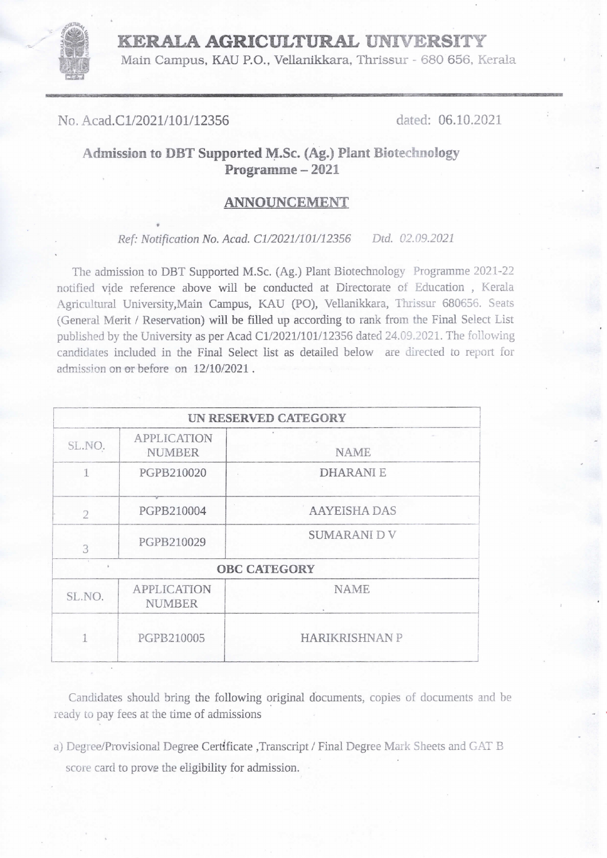## KERALA AGRICULTURAL UNIVERSITY

Main Campus, KAU P.O., Vellanikkara, Thrissur -680 656, Kerala

No, Acad.C1/2021/101/12356 dated: 06.10.2021

 $\overline{\phantom{a}}$ 

## Admission to DBT Supported M.Sc. (Ag.) Plant Biotechnology Programme - 2021

## ANNOUNCEMENT

Ref: Notification No. Acad. C1/2021/101/12356 Dtd. 02.09.2021

The admission to DBT Supported M.Sc. (Ag.) Plant Biotechnology Programme 2021-22 notified vide reference above will be conducted at Directorate of Education , Kerala Agricultural University,Main Campus, KAU (PO), Vellanikkara, Thrissur 680656. Seats (General Merit / Reservation) will be filled up according to rank from the Final Select List published by the University as per Acad C1/2021/101/12356 dated 24.09.2021. The following candidates included in the Final Select list as detailed below are directed to report for admission on or before on 12/10/2021.

|                |                                     | UN RESERVED CATEGORY  |
|----------------|-------------------------------------|-----------------------|
| SL.NO.         | <b>APPLICATION</b><br>NUMBER        | <b>NAME</b>           |
| 1              | PGPB210020                          | <b>DHARANIE</b>       |
| $\overline{2}$ | PGPB210004                          | <b>AAYEISHA DAS</b>   |
| 3              | PGPB210029                          | <b>SUMARANI D V</b>   |
|                |                                     | <b>OBC CATEGORY</b>   |
| SL.NO.         | <b>APPLICATION</b><br><b>NUMBER</b> | <b>NAME</b>           |
| 1              | PGPB210005                          | <b>HARIKRISHNAN P</b> |

Candidates should bring the following original documents, copies of documents and be ready to pay fees at the time of admissions

a) Degree/Provisional Degree Certificate ,Transcript / Final Degree Mark Sheets and GAT B score card to prove the eligibility for admission.